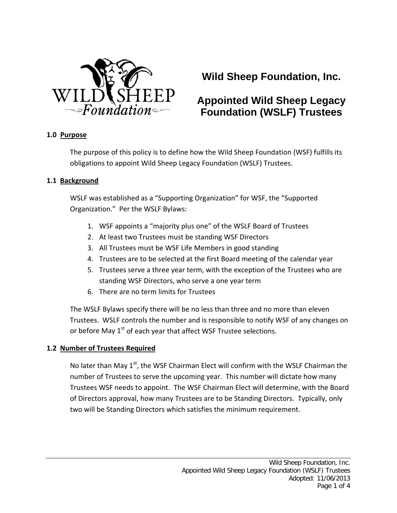

# **Wild Sheep Foundation, Inc.**

# **Appointed Wild Sheep Legacy Foundation (WSLF) Trustees**

### **1.0 Purpose**

The purpose of this policy is to define how the Wild Sheep Foundation (WSF) fulfills its obligations to appoint Wild Sheep Legacy Foundation (WSLF) Trustees.

### **1.1 Background**

WSLF was established as a "Supporting Organization" for WSF, the "Supported Organization." Per the WSLF Bylaws:

- 1. WSF appoints a "majority plus one" of the WSLF Board of Trustees
- 2. At least two Trustees must be standing WSF Directors
- 3. All Trustees must be WSF Life Members in good standing
- 4. Trustees are to be selected at the first Board meeting of the calendar year
- 5. Trustees serve a three year term, with the exception of the Trustees who are standing WSF Directors, who serve a one year term
- 6. There are no term limits for Trustees

The WSLF Bylaws specify there will be no less than three and no more than eleven Trustees. WSLF controls the number and is responsible to notify WSF of any changes on or before May  $1<sup>st</sup>$  of each year that affect WSF Trustee selections.

## **1.2 Number of Trustees Required**

No later than May  $1<sup>st</sup>$ , the WSF Chairman Elect will confirm with the WSLF Chairman the number of Trustees to serve the upcoming year. This number will dictate how many Trustees WSF needs to appoint. The WSF Chairman Elect will determine, with the Board of Directors approval, how many Trustees are to be Standing Directors. Typically, only two will be Standing Directors which satisfies the minimum requirement.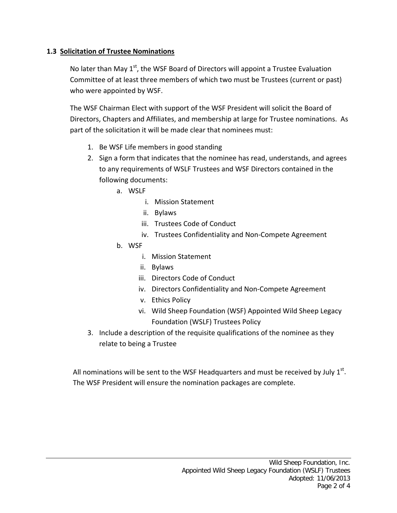# **1.3 Solicitation of Trustee Nominations**

No later than May  $1<sup>st</sup>$ , the WSF Board of Directors will appoint a Trustee Evaluation Committee of at least three members of which two must be Trustees (current or past) who were appointed by WSF.

The WSF Chairman Elect with support of the WSF President will solicit the Board of Directors, Chapters and Affiliates, and membership at large for Trustee nominations. As part of the solicitation it will be made clear that nominees must:

- 1. Be WSF Life members in good standing
- 2. Sign a form that indicates that the nominee has read, understands, and agrees to any requirements of WSLF Trustees and WSF Directors contained in the following documents:
	- a. WSLF
		- i. Mission Statement
		- ii. Bylaws
		- iii. Trustees Code of Conduct
		- iv. Trustees Confidentiality and Non‐Compete Agreement
	- b. WSF
		- i. Mission Statement
		- ii. Bylaws
		- iii. Directors Code of Conduct
		- iv. Directors Confidentiality and Non‐Compete Agreement
		- v. Ethics Policy
		- vi. Wild Sheep Foundation (WSF) Appointed Wild Sheep Legacy Foundation (WSLF) Trustees Policy
- 3. Include a description of the requisite qualifications of the nominee as they relate to being a Trustee

All nominations will be sent to the WSF Headquarters and must be received by July  $1<sup>st</sup>$ . The WSF President will ensure the nomination packages are complete.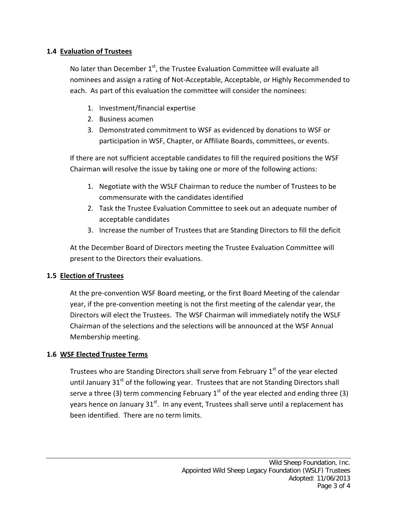# **1.4 Evaluation of Trustees**

No later than December  $1<sup>st</sup>$ , the Trustee Evaluation Committee will evaluate all nominees and assign a rating of Not‐Acceptable, Acceptable, or Highly Recommended to each. As part of this evaluation the committee will consider the nominees:

- 1. Investment/financial expertise
- 2. Business acumen
- 3. Demonstrated commitment to WSF as evidenced by donations to WSF or participation in WSF, Chapter, or Affiliate Boards, committees, or events.

If there are not sufficient acceptable candidates to fill the required positions the WSF Chairman will resolve the issue by taking one or more of the following actions:

- 1. Negotiate with the WSLF Chairman to reduce the number of Trustees to be commensurate with the candidates identified
- 2. Task the Trustee Evaluation Committee to seek out an adequate number of acceptable candidates
- 3. Increase the number of Trustees that are Standing Directors to fill the deficit

At the December Board of Directors meeting the Trustee Evaluation Committee will present to the Directors their evaluations.

## **1.5 Election of Trustees**

At the pre‐convention WSF Board meeting, or the first Board Meeting of the calendar year, if the pre‐convention meeting is not the first meeting of the calendar year, the Directors will elect the Trustees. The WSF Chairman will immediately notify the WSLF Chairman of the selections and the selections will be announced at the WSF Annual Membership meeting.

## **1.6 WSF Elected Trustee Terms**

Trustees who are Standing Directors shall serve from February  $1<sup>st</sup>$  of the year elected until January  $31<sup>st</sup>$  of the following year. Trustees that are not Standing Directors shall serve a three (3) term commencing February  $1<sup>st</sup>$  of the year elected and ending three (3) years hence on January  $31^{st}$ . In any event, Trustees shall serve until a replacement has been identified. There are no term limits.